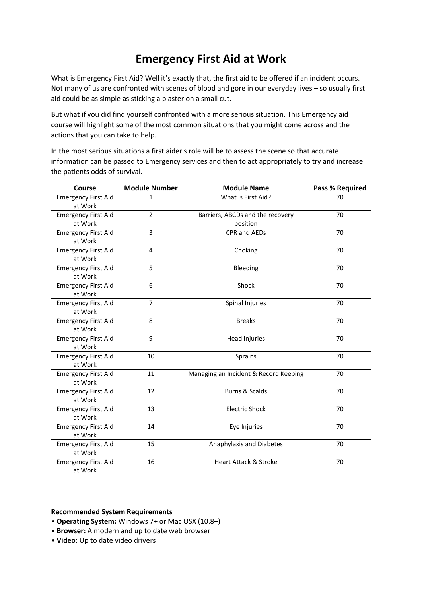## **Emergency First Aid at Work**

What is Emergency First Aid? Well it's exactly that, the first aid to be offered if an incident occurs. Not many of us are confronted with scenes of blood and gore in our everyday lives – so usually first aid could be as simple as sticking a plaster on a small cut.

But what if you did find yourself confronted with a more serious situation. This Emergency aid course will highlight some of the most common situations that you might come across and the actions that you can take to help.

In the most serious situations a first aider's role will be to assess the scene so that accurate information can be passed to Emergency services and then to act appropriately to try and increase the patients odds of survival.

| Course                     | <b>Module Number</b> | <b>Module Name</b>                    | <b>Pass % Required</b> |
|----------------------------|----------------------|---------------------------------------|------------------------|
| <b>Emergency First Aid</b> | 1                    | What is First Aid?                    | 70                     |
| at Work                    |                      |                                       |                        |
| <b>Emergency First Aid</b> | $\overline{2}$       | Barriers, ABCDs and the recovery      | 70                     |
| at Work                    |                      | position                              |                        |
| <b>Emergency First Aid</b> | 3                    | CPR and AEDs                          | 70                     |
| at Work                    |                      |                                       |                        |
| <b>Emergency First Aid</b> | 4                    | Choking                               | 70                     |
| at Work                    |                      |                                       |                        |
| <b>Emergency First Aid</b> | 5                    | Bleeding                              | 70                     |
| at Work                    |                      |                                       |                        |
| <b>Emergency First Aid</b> | 6                    | Shock                                 | 70                     |
| at Work                    |                      |                                       |                        |
| <b>Emergency First Aid</b> | $\overline{7}$       | Spinal Injuries                       | 70                     |
| at Work                    |                      |                                       |                        |
| <b>Emergency First Aid</b> | 8                    | <b>Breaks</b>                         | 70                     |
| at Work                    |                      |                                       |                        |
| <b>Emergency First Aid</b> | 9                    | <b>Head Injuries</b>                  | 70                     |
| at Work                    |                      |                                       |                        |
| <b>Emergency First Aid</b> | 10                   | Sprains                               | 70                     |
| at Work                    |                      |                                       |                        |
| <b>Emergency First Aid</b> | 11                   | Managing an Incident & Record Keeping | 70                     |
| at Work                    |                      |                                       |                        |
| <b>Emergency First Aid</b> | 12                   | <b>Burns &amp; Scalds</b>             | 70                     |
| at Work                    |                      |                                       |                        |
| <b>Emergency First Aid</b> | 13                   | <b>Electric Shock</b>                 | 70                     |
| at Work                    |                      |                                       |                        |
| <b>Emergency First Aid</b> | 14                   | Eye Injuries                          | 70                     |
| at Work                    |                      |                                       |                        |
| <b>Emergency First Aid</b> | 15                   | Anaphylaxis and Diabetes              | 70                     |
| at Work                    |                      |                                       |                        |
| <b>Emergency First Aid</b> | 16                   | <b>Heart Attack &amp; Stroke</b>      | 70                     |
| at Work                    |                      |                                       |                        |

## **Recommended System Requirements**

- **Operating System:** Windows 7+ or Mac OSX (10.8+)
- **Browser:** A modern and up to date web browser
- **Video:** Up to date video drivers